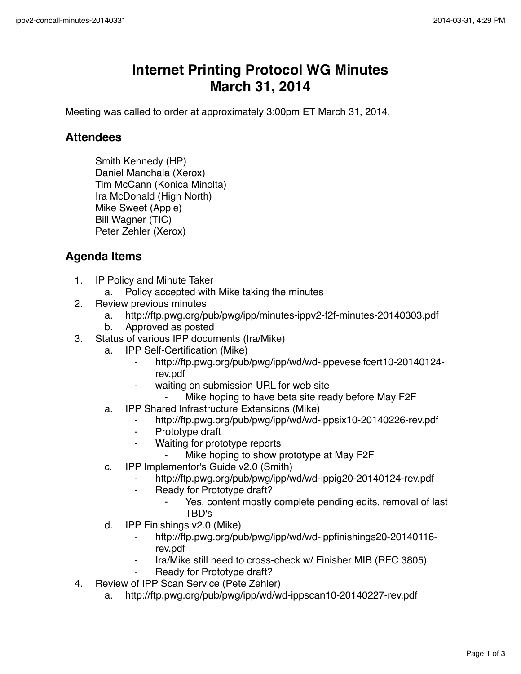## **Internet Printing Protocol WG Minutes March 31, 2014**

Meeting was called to order at approximately 3:00pm ET March 31, 2014.

## **Attendees**

Smith Kennedy (HP) Daniel Manchala (Xerox) Tim McCann (Konica Minolta) Ira McDonald (High North) Mike Sweet (Apple) Bill Wagner (TIC) Peter Zehler (Xerox)

## **Agenda Items**

- 1. IP Policy and Minute Taker
	- a. Policy accepted with Mike taking the minutes
- 2. Review previous minutes
	- a. http://ftp.pwg.org/pub/pwg/ipp/minutes-ippv2-f2f-minutes-20140303.pdf
	- b. Approved as posted
- 3. Status of various IPP documents (Ira/Mike)
	- a. IPP Self-Certification (Mike)
		- ⁃ http://ftp.pwg.org/pub/pwg/ipp/wd/wd-ippeveselfcert10-20140124 rev.pdf
		- waiting on submission URL for web site
			- Mike hoping to have beta site ready before May F2F
	- a. IPP Shared Infrastructure Extensions (Mike)
		- ⁃ http://ftp.pwg.org/pub/pwg/ipp/wd/wd-ippsix10-20140226-rev.pdf
		- ⁃ Prototype draft
		- ⁃ Waiting for prototype reports
			- ⁃ Mike hoping to show prototype at May F2F
	- c. IPP Implementor's Guide v2.0 (Smith)
		- http://ftp.pwg.org/pub/pwg/ipp/wd/wd-ippig20-20140124-rev.pdf
		- ⁃ Ready for Prototype draft?
			- Yes, content mostly complete pending edits, removal of last TBD's
	- d. IPP Finishings v2.0 (Mike)
		- ⁃ http://ftp.pwg.org/pub/pwg/ipp/wd/wd-ippfinishings20-20140116 rev.pdf
		- Ira/Mike still need to cross-check w/ Finisher MIB (RFC 3805)
		- Ready for Prototype draft?
- 4. Review of IPP Scan Service (Pete Zehler)
	- a. http://ftp.pwg.org/pub/pwg/ipp/wd/wd-ippscan10-20140227-rev.pdf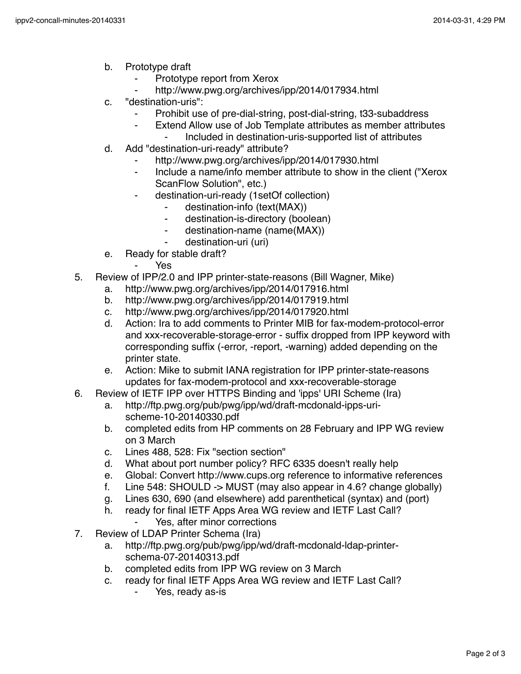- b. Prototype draft
	- Prototype report from Xerox
	- http://www.pwg.org/archives/ipp/2014/017934.html
- c. "destination-uris":
	- Prohibit use of pre-dial-string, post-dial-string, t33-subaddress
		- ⁃ Extend Allow use of Job Template attributes as member attributes
			- ⁃ Included in destination-uris-supported list of attributes
- d. Add "destination-uri-ready" attribute?
	- http://www.pwg.org/archives/ipp/2014/017930.html
	- ⁃ Include a name/info member attribute to show in the client ("Xerox ScanFlow Solution", etc.)
	- ⁃ destination-uri-ready (1setOf collection)
		- destination-info (text(MAX))
		- destination-is-directory (boolean)
		- ⁃ destination-name (name(MAX))
		- destination-uri (uri)
- e. Ready for stable draft?
	- Yes.
- 5. Review of IPP/2.0 and IPP printer-state-reasons (Bill Wagner, Mike)
	- a. http://www.pwg.org/archives/ipp/2014/017916.html
	- b. http://www.pwg.org/archives/ipp/2014/017919.html
	- c. http://www.pwg.org/archives/ipp/2014/017920.html
	- d. Action: Ira to add comments to Printer MIB for fax-modem-protocol-error and xxx-recoverable-storage-error - suffix dropped from IPP keyword with corresponding suffix (-error, -report, -warning) added depending on the printer state.
	- e. Action: Mike to submit IANA registration for IPP printer-state-reasons updates for fax-modem-protocol and xxx-recoverable-storage
- 6. Review of IETF IPP over HTTPS Binding and 'ipps' URI Scheme (Ira)
	- a. http://ftp.pwg.org/pub/pwg/ipp/wd/draft-mcdonald-ipps-urischeme-10-20140330.pdf
	- b. completed edits from HP comments on 28 February and IPP WG review on 3 March
	- c. Lines 488, 528: Fix "section section"
	- d. What about port number policy? RFC 6335 doesn't really help
	- e. Global: Convert http://www.cups.org reference to informative references
	- f. Line 548: SHOULD -> MUST (may also appear in 4.6? change globally)
	- g. Lines 630, 690 (and elsewhere) add parenthetical (syntax) and (port)
	- h. ready for final IETF Apps Area WG review and IETF Last Call?
		- Yes, after minor corrections
- 7. Review of LDAP Printer Schema (Ira)
	- a. http://ftp.pwg.org/pub/pwg/ipp/wd/draft-mcdonald-ldap-printerschema-07-20140313.pdf
	- b. completed edits from IPP WG review on 3 March
	- c. ready for final IETF Apps Area WG review and IETF Last Call?
		- Yes, ready as-is